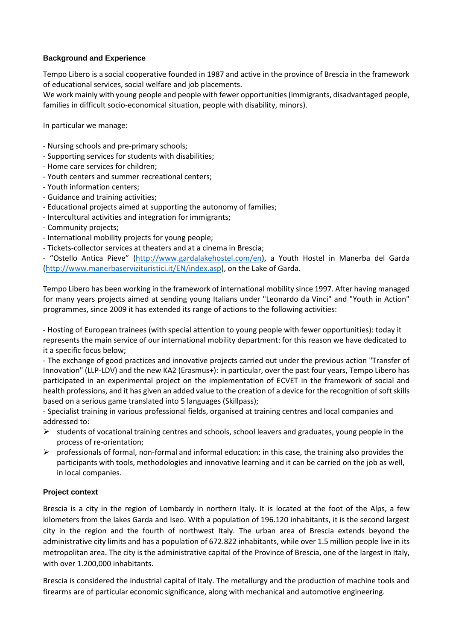## **Background and Experience**

Tempo Libero is a social cooperative founded in 1987 and active in the province of Brescia in the framework of educational services, social welfare and job placements.

We work mainly with young people and people with fewer opportunities (immigrants, disadvantaged people, families in difficult socio-economical situation, people with disability, minors).

In particular we manage:

- Nursing schools and pre-primary schools;
- Supporting services for students with disabilities;
- Home care services for children;
- Youth centers and summer recreational centers;
- Youth information centers;
- Guidance and training activities;
- Educational projects aimed at supporting the autonomy of families;
- Intercultural activities and integration for immigrants;
- Community projects;
- International mobility projects for young people;
- Tickets-collector services at theaters and at a cinema in Brescia;

- "Ostello Antica Pieve" ([http://www.gardalakehostel.com/en\)](http://www.gardalakehostel.com/en), a Youth Hostel in Manerba del Garda [\(http://www.manerbaservizituristici.it/EN/index.asp\)](http://www.manerbaservizituristici.it/EN/index.asp), on the Lake of Garda.

Tempo Libero has been working in the framework of international mobility since 1997. After having managed for many years projects aimed at sending young Italians under "Leonardo da Vinci" and "Youth in Action" programmes, since 2009 it has extended its range of actions to the following activities:

- Hosting of European trainees (with special attention to young people with fewer opportunities): today it represents the main service of our international mobility department: for this reason we have dedicated to it a specific focus below;

- The exchange of good practices and innovative projects carried out under the previous action "Transfer of Innovation" (LLP-LDV) and the new KA2 (Erasmus+): in particular, over the past four years, Tempo Libero has participated in an experimental project on the implementation of ECVET in the framework of social and health professions, and it has given an added value to the creation of a device for the recognition of soft skills based on a serious game translated into 5 languages (Skillpass);

- Specialist training in various professional fields, organised at training centres and local companies and addressed to:

- $\triangleright$  students of vocational training centres and schools, school leavers and graduates, young people in the process of re-orientation;
- $\triangleright$  professionals of formal, non-formal and informal education: in this case, the training also provides the participants with tools, methodologies and innovative learning and it can be carried on the job as well, in local companies.

## **Project context**

Brescia is a city in the region of Lombardy in northern Italy. It is located at the foot of the Alps, a few kilometers from the lakes Garda and Iseo. With a population of 196.120 inhabitants, it is the second largest city in the region and the fourth of northwest Italy. The urban area of Brescia extends beyond the administrative city limits and has a population of 672.822 inhabitants, while over 1.5 million people live in its metropolitan area. The city is the administrative capital of the Province of Brescia, one of the largest in Italy, with over 1.200,000 inhabitants.

Brescia is considered the industrial capital of Italy. The metallurgy and the production of machine tools and firearms are of particular economic significance, along with mechanical and automotive engineering.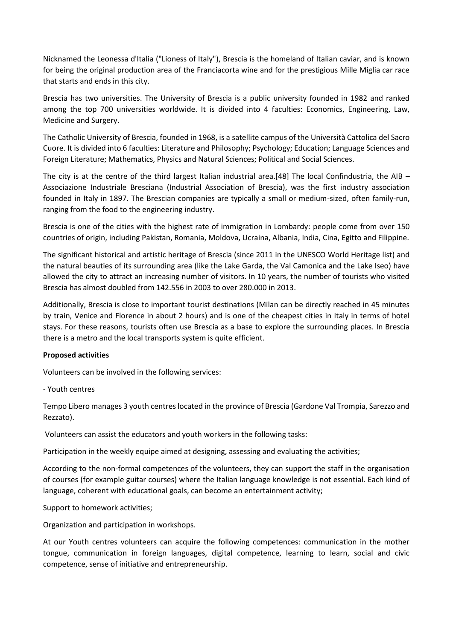Nicknamed the Leonessa d'Italia ("Lioness of Italy"), Brescia is the homeland of Italian caviar, and is known for being the original production area of the Franciacorta wine and for the prestigious Mille Miglia car race that starts and ends in this city.

Brescia has two universities. The University of Brescia is a public university founded in 1982 and ranked among the top 700 universities worldwide. It is divided into 4 faculties: Economics, Engineering, Law, Medicine and Surgery.

The Catholic University of Brescia, founded in 1968, is a satellite campus of the Università Cattolica del Sacro Cuore. It is divided into 6 faculties: Literature and Philosophy; Psychology; Education; Language Sciences and Foreign Literature; Mathematics, Physics and Natural Sciences; Political and Social Sciences.

The city is at the centre of the third largest Italian industrial area.[48] The local Confindustria, the AIB – Associazione Industriale Bresciana (Industrial Association of Brescia), was the first industry association founded in Italy in 1897. The Brescian companies are typically a small or medium-sized, often family-run, ranging from the food to the engineering industry.

Brescia is one of the cities with the highest rate of immigration in Lombardy: people come from over 150 countries of origin, including Pakistan, Romania, Moldova, Ucraina, Albania, India, Cina, Egitto and Filippine.

The significant historical and artistic heritage of Brescia (since 2011 in the UNESCO World Heritage list) and the natural beauties of its surrounding area (like the Lake Garda, the Val Camonica and the Lake Iseo) have allowed the city to attract an increasing number of visitors. In 10 years, the number of tourists who visited Brescia has almost doubled from 142.556 in 2003 to over 280.000 in 2013.

Additionally, Brescia is close to important tourist destinations (Milan can be directly reached in 45 minutes by train, Venice and Florence in about 2 hours) and is one of the cheapest cities in Italy in terms of hotel stays. For these reasons, tourists often use Brescia as a base to explore the surrounding places. In Brescia there is a metro and the local transports system is quite efficient.

## **Proposed activities**

Volunteers can be involved in the following services:

- Youth centres

Tempo Libero manages 3 youth centres located in the province of Brescia (Gardone Val Trompia, Sarezzo and Rezzato).

Volunteers can assist the educators and youth workers in the following tasks:

Participation in the weekly equipe aimed at designing, assessing and evaluating the activities;

According to the non-formal competences of the volunteers, they can support the staff in the organisation of courses (for example guitar courses) where the Italian language knowledge is not essential. Each kind of language, coherent with educational goals, can become an entertainment activity;

Support to homework activities;

Organization and participation in workshops.

At our Youth centres volunteers can acquire the following competences: communication in the mother tongue, communication in foreign languages, digital competence, learning to learn, social and civic competence, sense of initiative and entrepreneurship.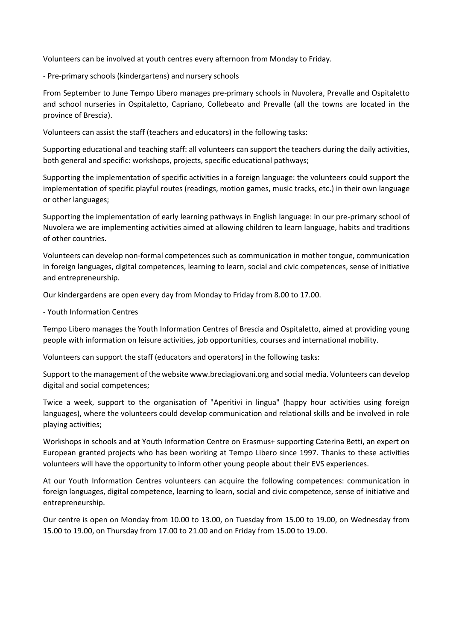Volunteers can be involved at youth centres every afternoon from Monday to Friday.

- Pre-primary schools (kindergartens) and nursery schools

From September to June Tempo Libero manages pre-primary schools in Nuvolera, Prevalle and Ospitaletto and school nurseries in Ospitaletto, Capriano, Collebeato and Prevalle (all the towns are located in the province of Brescia).

Volunteers can assist the staff (teachers and educators) in the following tasks:

Supporting educational and teaching staff: all volunteers can support the teachers during the daily activities, both general and specific: workshops, projects, specific educational pathways;

Supporting the implementation of specific activities in a foreign language: the volunteers could support the implementation of specific playful routes (readings, motion games, music tracks, etc.) in their own language or other languages;

Supporting the implementation of early learning pathways in English language: in our pre-primary school of Nuvolera we are implementing activities aimed at allowing children to learn language, habits and traditions of other countries.

Volunteers can develop non-formal competences such as communication in mother tongue, communication in foreign languages, digital competences, learning to learn, social and civic competences, sense of initiative and entrepreneurship.

Our kindergardens are open every day from Monday to Friday from 8.00 to 17.00.

- Youth Information Centres

Tempo Libero manages the Youth Information Centres of Brescia and Ospitaletto, aimed at providing young people with information on leisure activities, job opportunities, courses and international mobility.

Volunteers can support the staff (educators and operators) in the following tasks:

Support to the management of the website www.breciagiovani.org and social media. Volunteers can develop digital and social competences;

Twice a week, support to the organisation of "Aperitivi in lingua" (happy hour activities using foreign languages), where the volunteers could develop communication and relational skills and be involved in role playing activities;

Workshops in schools and at Youth Information Centre on Erasmus+ supporting Caterina Betti, an expert on European granted projects who has been working at Tempo Libero since 1997. Thanks to these activities volunteers will have the opportunity to inform other young people about their EVS experiences.

At our Youth Information Centres volunteers can acquire the following competences: communication in foreign languages, digital competence, learning to learn, social and civic competence, sense of initiative and entrepreneurship.

Our centre is open on Monday from 10.00 to 13.00, on Tuesday from 15.00 to 19.00, on Wednesday from 15.00 to 19.00, on Thursday from 17.00 to 21.00 and on Friday from 15.00 to 19.00.